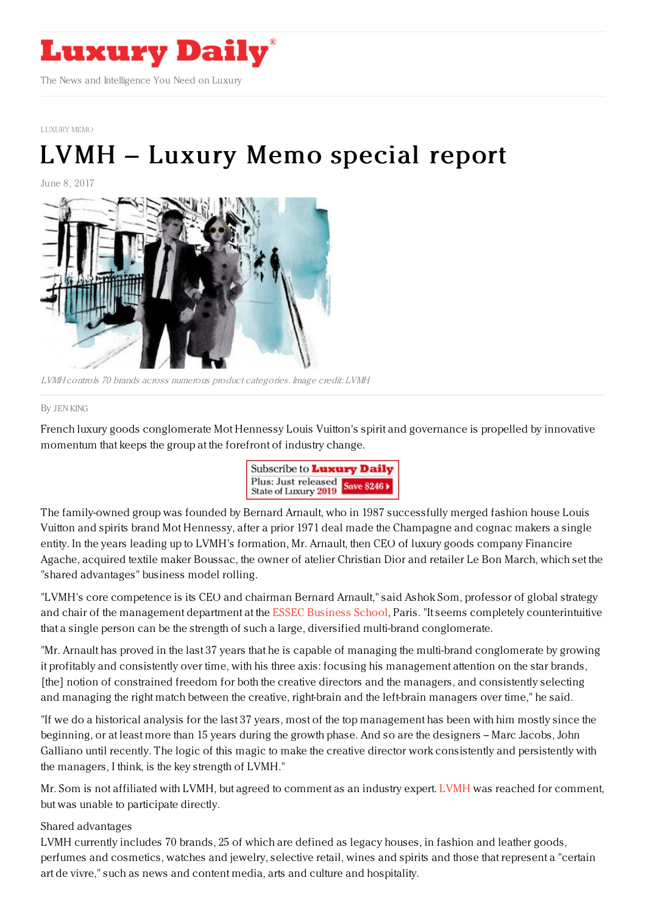

[LUXURY](https://www.luxurydaily.com/category/sectors/special-reports) MEMO

# LVMH – Luxury Memo [special](https://www.luxurydaily.com/lvmh-luxury-memo-special-report/) report

June 8, 2017



LVMH controls 70 brands across numerous product categories. Image credit: LVMH

#### By JEN [KING](file:///author/jen-king)

French luxury goods conglomerate Mot Hennessy Louis Vuitton's spirit and governance is propelled by innovative momentum that keeps the group at the forefront of industry change.



The family-owned group was founded by Bernard Arnault, who in 1987 successfully merged fashion house Louis Vuitton and spirits brand Mot Hennessy, after a prior 1971 deal made the Champagne and cognac makers a single entity. In the years leading up to LVMH's formation, Mr. Arnault, then CEO of luxury goods company Financire Agache, acquired textile maker Boussac, the owner of atelier Christian Dior and retailer Le Bon March, which set the "shared advantages" business model rolling.

"LVMH's core competence is its CEO and chairman Bernard Arnault," said Ashok Som, professor of global strategy and chair of the management department at the ESSEC [Business](http://www.essec.edu/) School, Paris. "It seems completely counterintuitive that a single person can be the strength of such a large, diversified multi-brand conglomerate.

"Mr. Arnault has proved in the last 37 years that he is capable of managing the multi-brand conglomerate by growing it profitably and consistently over time, with his three axis: focusing his management attention on the star brands, [the] notion of constrained freedom for both the creative directors and the managers, and consistently selecting and managing the right match between the creative, right-brain and the left-brain managers over time," he said.

"If we do a historical analysis for the last 37 years, most of the top management has been with him mostly since the beginning, or at least more than 15 years during the growth phase. And so are the designers -- Marc Jacobs, John Galliano until recently. The logic of this magic to make the creative director work consistently and persistently with the managers, I think, is the key strength of LVMH."

Mr. Som is not affiliated with [LVMH](http://www.lvmh.com), but agreed to comment as an industry expert. LVMH was reached for comment, but was unable to participate directly.

#### Shared advantages

LVMH currently includes 70 brands, 25 of which are defined as legacy houses, in fashion and leather goods, perfumes and cosmetics, watches and jewelry, selective retail, wines and spirits and those that represent a "certain art de vivre," such as news and content media, arts and culture and hospitality.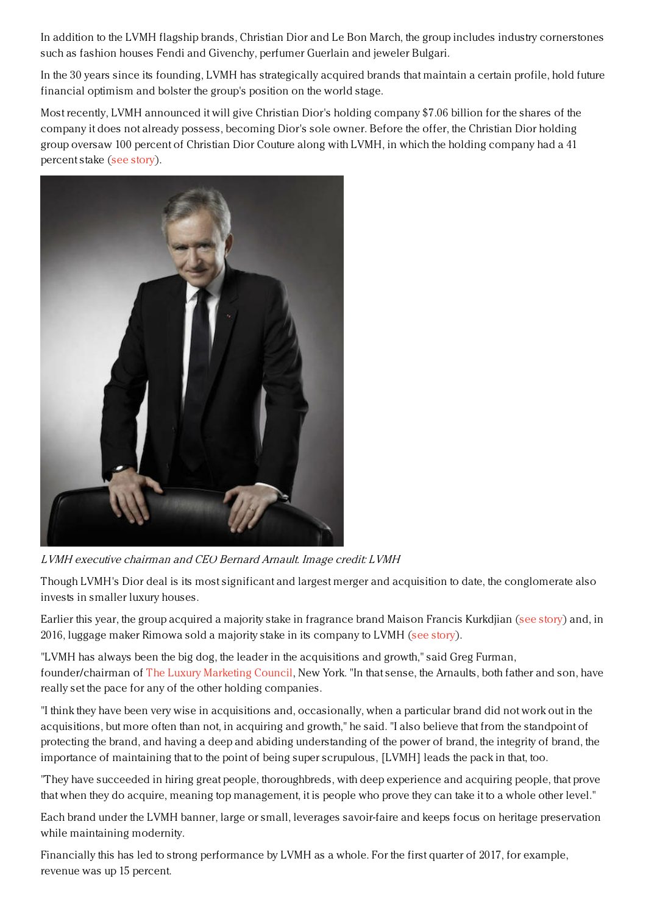In addition to the LVMH flagship brands, Christian Dior and Le Bon March, the group includes industry cornerstones such as fashion houses Fendi and Givenchy, perfumer Guerlain and jeweler Bulgari.

In the 30 years since its founding, LVMH has strategically acquired brands that maintain a certain profile, hold future financial optimism and bolster the group's position on the world stage.

Most recently, LVMH announced it will give Christian Dior's holding company \$7.06 billion for the shares of the company it does not already possess, becoming Dior's sole owner. Before the offer, the Christian Dior holding group oversaw 100 percent of Christian Dior Couture along with LVMH, in which the holding company had a 41 percent stake (see [story](https://www.luxurydaily.com/lvmh-files-dior-offer-with-amf/)).



LVMH executive chairman and CEO Bernard Arnault. Image credit: LVMH

Though LVMH's Dior deal is its most significant and largest merger and acquisition to date, the conglomerate also invests in smaller luxury houses.

Earlier this year, the group acquired a majority stake in fragrance brand Maison Francis Kurkdjian (see [story](https://www.luxurydaily.com/lvmh-adds-to-beauty-portfolio-with-maison-francis-kurkdjian-acquisition/)) and, in 2016, luggage maker Rimowa sold a majority stake in its company to LVMH (see [story](https://www.luxurydaily.com/lvmh-adds-rimowa-to-stable-of-brands/)).

"LVMH has always been the big dog, the leader in the acquisitions and growth," said Greg Furman, founder/chairman of The Luxury [Marketing](http://www.luxurycouncil.com/) Council, New York. "In that sense, the Arnaults, both father and son, have really set the pace for any of the other holding companies.

"I think they have been very wise in acquisitions and, occasionally, when a particular brand did not work out in the acquisitions, but more often than not, in acquiring and growth," he said. "I also believe that from the standpoint of protecting the brand, and having a deep and abiding understanding of the power of brand, the integrity of brand, the importance of maintaining that to the point of being super scrupulous, [LVMH] leads the pack in that, too.

"They have succeeded in hiring great people, thoroughbreds, with deep experience and acquiring people, that prove that when they do acquire, meaning top management, it is people who prove they can take it to a whole other level."

Each brand under the LVMH banner, large or small, leverages savoir-faire and keeps focus on heritage preservation while maintaining modernity.

Financially this has led to strong performance by LVMH as a whole. For the first quarter of 2017, for example, revenue was up 15 percent.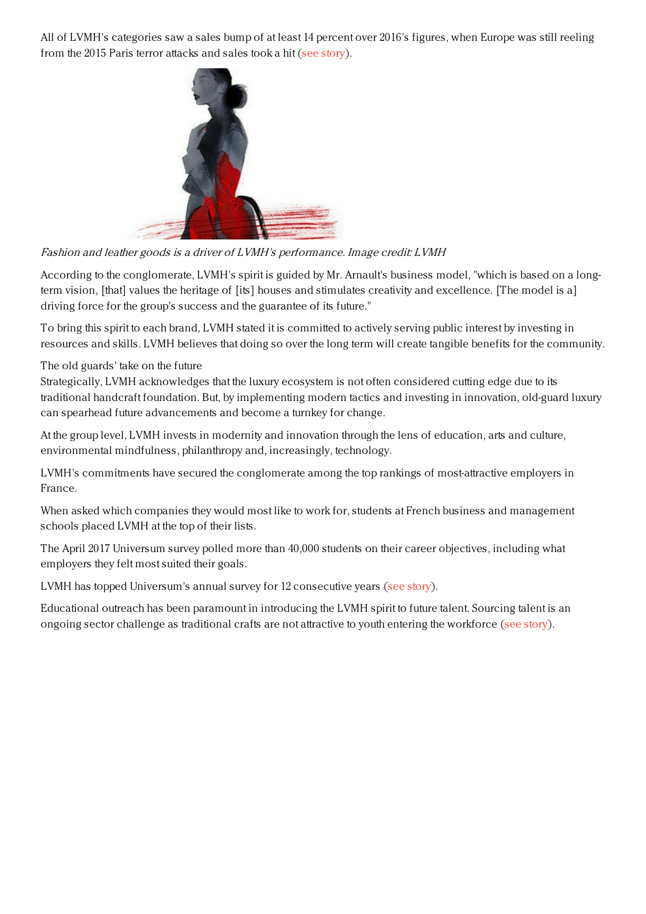All of LVMH's categories saw a sales bump of at least 14 percent over 2016's figures, when Europe was still reeling from the 2015 Paris terror attacks and sales took a hit (see [story](https://www.luxurydaily.com/lvmh-sees-15pc-revenue-growth-in-q1/)).



Fashion and leather goods is <sup>a</sup> driver of LVMH's performance. Image credit: LVMH

According to the conglomerate, LVMH's spirit is guided by Mr. Arnault's business model, "which is based on a longterm vision, [that] values the heritage of [its] houses and stimulates creativity and excellence. [The model is a] driving force for the group's success and the guarantee of its future."

To bring this spirit to each brand, LVMH stated it is committed to actively serving public interest by investing in resources and skills. LVMH believes that doing so over the long term will create tangible benefits for the community.

The old guards' take on the future

Strategically, LVMH acknowledges that the luxury ecosystem is not often considered cutting edge due to its traditional handcraft foundation. But, by implementing modern tactics and investing in innovation, old-guard luxury can spearhead future advancements and become a turnkey for change.

At the group level, LVMH invests in modernity and innovation through the lens of education, arts and culture, environmental mindfulness, philanthropy and, increasingly, technology.

LVMH's commitments have secured the conglomerate among the top rankings of most-attractive employers in France.

When asked which companies they would most like to work for, students at French business and management schools placed LVMH at the top of their lists.

The April 2017 Universum survey polled more than 40,000 students on their career objectives, including what employers they felt most suited their goals.

LVMH has topped Universum's annual survey for 12 consecutive years (see [story](https://www.luxurydaily.com/lvmh-tops-french-student-rankings-of-most-attractive-employers/)).

Educational outreach has been paramount in introducing the LVMH spirit to future talent. Sourcing talent is an ongoing sector challenge as traditional crafts are not attractive to youth entering the workforce (see [story](https://www.luxurydaily.com/50pc-of-fashion-luxury-brands-dont-feel-they-have-access-to-best-talent-bcg/)).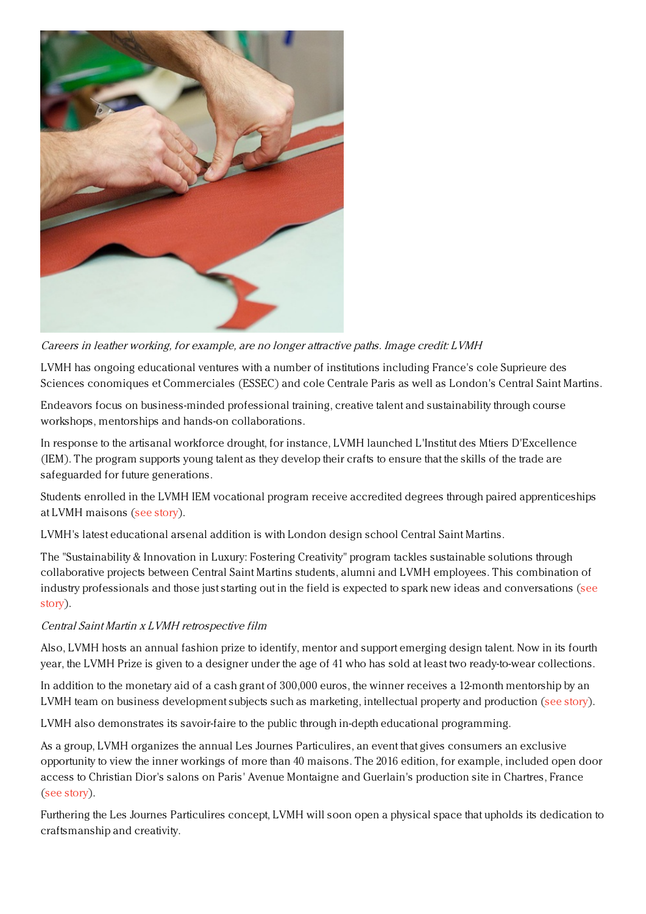

Careers in leather working, for example, are no longer attractive paths. Image credit: LVMH

LVMH has ongoing educational ventures with a number of institutions including France's cole Suprieure des Sciences conomiques et Commerciales (ESSEC) and cole Centrale Paris as well as London's Central Saint Martins.

Endeavors focus on business-minded professional training, creative talent and sustainability through course workshops, mentorships and hands-on collaborations.

In response to the artisanal workforce drought, for instance, LVMH launched L'Institut des Mtiers D'Excellence (IEM). The program supports young talent as they develop their crafts to ensure that the skills of the trade are safeguarded for future generations.

Students enrolled in the LVMH IEM vocational program receive accredited degrees through paired apprenticeships at LVMH maisons (see [story](https://www.luxurydaily.com/lvmh-aims-to-fix-talent-drought-through-education-program/)).

LVMH's latest educational arsenal addition is with London design school Central Saint Martins.

The "Sustainability & Innovation in Luxury: Fostering Creativity" program tackles sustainable solutions through collaborative projects between Central Saint Martins students, alumni and LVMH employees. This combination of industry professionals and those just starting out in the field is expected to spark new ideas and [conversations](https://www.luxurydaily.com/lvmh-deepens-central-saint-martins-relationship-to-foster-innovation/) (see story).

#### Central Saint Martin <sup>x</sup> LVMH retrospective film

Also, LVMH hosts an annual fashion prize to identify, mentor and support emerging design talent. Now in its fourth year, the LVMH Prize is given to a designer under the age of 41 who has sold at least two ready-to-wear collections.

In addition to the monetary aid of a cash grant of 300,000 euros, the winner receives a 12-month mentorship by an LVMH team on business development subjects such as marketing, intellectual property and production (see [story](https://www.luxurydaily.com/lvmh-opens-fourth-edition-of-319k-prize/)).

LVMH also demonstrates its savoir-faire to the public through in-depth educational programming.

As a group, LVMH organizes the annual Les Journes Particulires, an event that gives consumers an exclusive opportunity to view the inner workings of more than 40 maisons. The 2016 edition, for example, included open door access to Christian Dior's salons on Paris' Avenue Montaigne and Guerlain's production site in Chartres, France (see [story](https://www.luxurydaily.com/lvmhs-les-journees-particulieres-hashtag-reached-25m-consumers-in-3-days/)).

Furthering the Les Journes Particulires concept, LVMH will soon open a physical space that upholds its dedication to craftsmanship and creativity.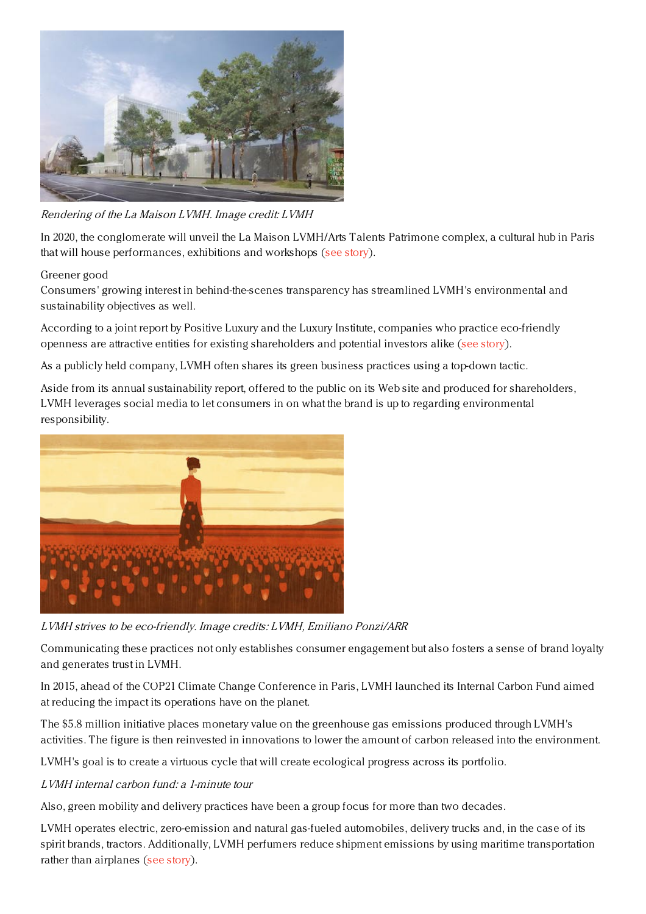

Rendering of the La Maison LVMH. Image credit: LVMH

In 2020, the conglomerate will unveil the La Maison LVMH/Arts Talents Patrimone complex, a cultural hub in Paris that will house performances, exhibitions and workshops (see [story](https://www.luxurydaily.com/lvmh-plans-public-art-center-in-paris-to-spotlight-savoir-faire/)).

## Greener good

Consumers' growing interest in behind-the-scenes transparency has streamlined LVMH's environmental and sustainability objectives as well.

According to a joint report by Positive Luxury and the Luxury Institute, companies who practice eco-friendly openness are attractive entities for existing shareholders and potential investors alike (see [story](https://www.luxurydaily.com/sustainability-efforts-to-boost-investor-interest-in-luxury-houses-report/)).

As a publicly held company, LVMH often shares its green business practices using a top-down tactic.

Aside from its annual sustainability report, offered to the public on its Web site and produced for shareholders, LVMH leverages social media to let consumers in on what the brand is up to regarding environmental responsibility.



LVMH strives to be eco-friendly. Image credits: LVMH, Emiliano Ponzi/ARR

Communicating these practices not only establishes consumer engagement but also fosters a sense of brand loyalty and generates trust in LVMH.

In 2015, ahead of the COP21 Climate Change Conference in Paris, LVMH launched its Internal Carbon Fund aimed at reducing the impact its operations have on the planet.

The \$5.8 million initiative places monetary value on the greenhouse gas emissions produced through LVMH's activities. The figure is then reinvested in innovations to lower the amount of carbon released into the environment.

LVMH's goal is to create a virtuous cycle that will create ecological progress across its portfolio.

#### LVMH internal carbon fund: <sup>a</sup> 1-minute tour

Also, green mobility and delivery practices have been a group focus for more than two decades.

LVMH operates electric, zero-emission and natural gas-fueled automobiles, delivery trucks and, in the case of its spirit brands, tractors. Additionally, LVMH perfumers reduce shipment emissions by using maritime transportation rather than airplanes (see [story](https://www.luxurydaily.com/lvmh-joins-cop21-conversation-via-sustainability-practice-overview/)).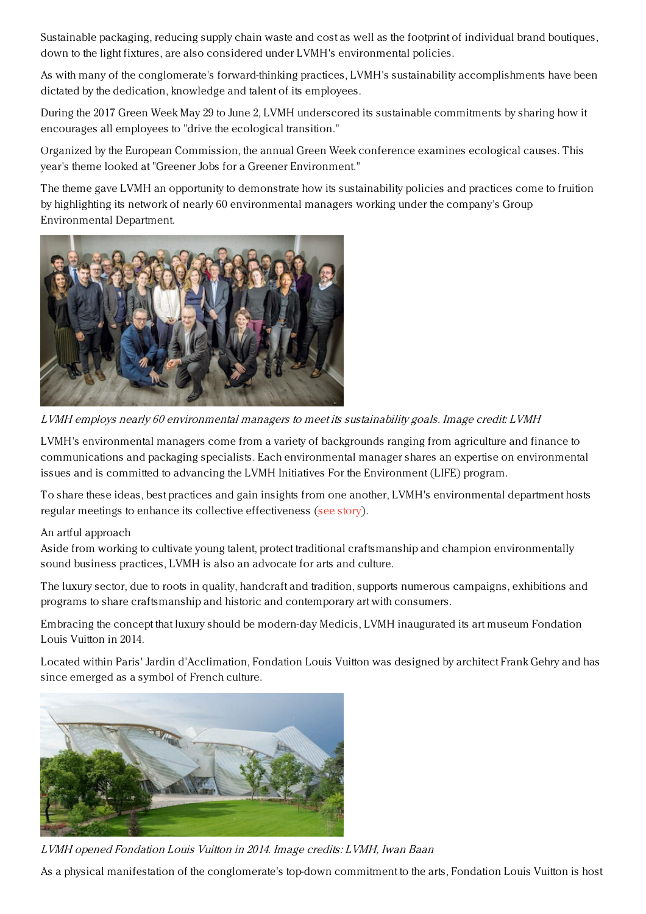Sustainable packaging, reducing supply chain waste and cost as well as the footprint of individual brand boutiques, down to the light fixtures, are also considered under LVMH's environmental policies.

As with many of the conglomerate's forward-thinking practices, LVMH's sustainability accomplishments have been dictated by the dedication, knowledge and talent of its employees.

During the 2017 Green Week May 29 to June 2, LVMH underscored its sustainable commitments by sharing how it encourages all employees to "drive the ecological transition."

Organized by the European Commission, the annual Green Week conference examines ecological causes. This year's theme looked at "Greener Jobs for a Greener Environment."

The theme gave LVMH an opportunity to demonstrate how its sustainability policies and practices come to fruition by highlighting its network of nearly 60 environmental managers working under the company's Group Environmental Department.



LVMH employs nearly 60 environmental managers to meet its sustainability goals. Image credit: LVMH

LVMH's environmental managers come from a variety of backgrounds ranging from agriculture and finance to communications and packaging specialists. Each environmental manager shares an expertise on environmental issues and is committed to advancing the LVMH Initiatives For the Environment (LIFE) program.

To share these ideas, best practices and gain insights from one another, LVMH's environmental department hosts regular meetings to enhance its collective effectiveness (see [story](https://www.luxurydaily.com/lvmh-spotlights-internal-environmental-managers-during-green-week-2017/)).

#### An artful approach

Aside from working to cultivate young talent, protect traditional craftsmanship and champion environmentally sound business practices, LVMH is also an advocate for arts and culture.

The luxury sector, due to roots in quality, handcraft and tradition, supports numerous campaigns, exhibitions and programs to share craftsmanship and historic and contemporary art with consumers.

Embracing the concept that luxury should be modern-day Medicis, LVMH inaugurated its art museum Fondation Louis Vuitton in 2014.

Located within Paris' Jardin d'Acclimation, Fondation Louis Vuitton was designed by architect Frank Gehry and has since emerged as a symbol of French culture.



LVMH opened Fondation Louis Vuitton in 2014. Image credits: LVMH, Iwan Baan

As a physical manifestation of the conglomerate's top-down commitment to the arts, Fondation Louis Vuitton is host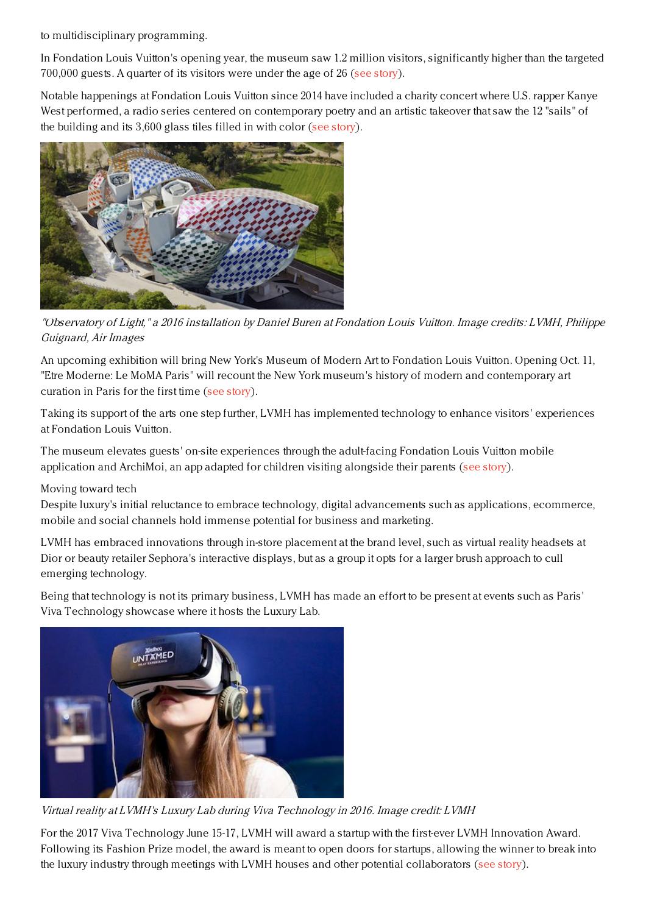to multidisciplinary programming.

In Fondation Louis Vuitton's opening year, the museum saw 1.2 million visitors, significantly higher than the targeted 700,000 guests. A quarter of its visitors were under the age of 26 (see [story](https://www.luxurydaily.com/lvmhs-fondation-louis-vuitton-sees-1-2m-guests-in-first-year/)).

Notable happenings at Fondation Louis Vuitton since 2014 have included a charity concert where U.S. rapper Kanye West performed, a radio series centered on contemporary poetry and an artistic takeover that saw the 12 "sails" of the building and its 3,600 glass tiles filled in with color (see [story](https://www.luxurydaily.com/fondation-louis-vuitton-invites-artist-to-colors-in-its-sails/)).



"Observatory of Light," <sup>a</sup> 2016 installation by Daniel Buren at Fondation Louis Vuitton. Image credits: LVMH, Philippe Guignard, Air Images

An upcoming exhibition will bring New York's Museum of Modern Art to Fondation Louis Vuitton. Opening Oct. 11, "Etre Moderne: Le MoMA Paris" will recount the New York museum's history of modern and contemporary art curation in Paris for the first time (see [story](https://www.luxurydaily.com/fondation-louis-vuitton-brings-moma-to-paris/)).

Taking its support of the arts one step further, LVMH has implemented technology to enhance visitors' experiences at Fondation Louis Vuitton.

The museum elevates guests' on-site experiences through the adult-facing Fondation Louis Vuitton mobile application and ArchiMoi, an app adapted for children visiting alongside their parents (see [story](https://www.luxurydaily.com/fondation-louis-vuitton-spurs-ageless-interactions-via-mobile-apps/)).

# Moving toward tech

Despite luxury's initial reluctance to embrace technology, digital advancements such as applications, ecommerce, mobile and social channels hold immense potential for business and marketing.

LVMH has embraced innovations through in-store placement at the brand level, such as virtual reality headsets at Dior or beauty retailer Sephora's interactive displays, but as a group it opts for a larger brush approach to cull emerging technology.

Being that technology is not its primary business, LVMH has made an effort to be present at events such as Paris' Viva Technology showcase where it hosts the Luxury Lab.



Virtual reality at LVMH's Luxury Lab during Viva Technology in 2016. Image credit: LVMH

For the 2017 Viva Technology June 15-17, LVMH will award a startup with the first-ever LVMH Innovation Award. Following its Fashion Prize model, the award is meant to open doors for startups, allowing the winner to break into the luxury industry through meetings with LVMH houses and other potential collaborators (see [story](https://www.luxurydaily.com/lvmh-launches-innovation-award-to-give-startup-luxury-entry-point/)).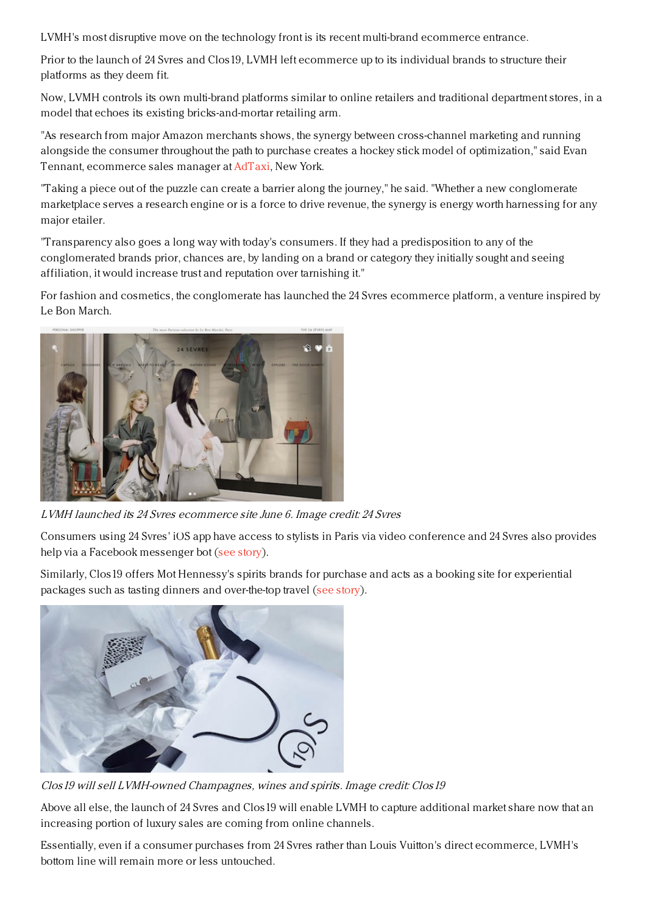LVMH's most disruptive move on the technology front is its recent multi-brand ecommerce entrance.

Prior to the launch of 24 Svres and Clos19, LVMH left ecommerce up to its individual brands to structure their platforms as they deem fit.

Now, LVMH controls its own multi-brand platforms similar to online retailers and traditional department stores, in a model that echoes its existing bricks-and-mortar retailing arm.

"As research from major Amazon merchants shows, the synergy between cross-channel marketing and running alongside the consumer throughout the path to purchase creates a hockey stick model of optimization," said Evan Tennant, ecommerce sales manager at [AdTaxi](http://http.www.adtaxi.com), New York.

"Taking a piece out of the puzzle can create a barrier along the journey," he said. "Whether a new conglomerate marketplace serves a research engine or is a force to drive revenue, the synergy is energy worth harnessing for any major etailer.

"Transparency also goes a long way with today's consumers. If they had a predisposition to any of the conglomerated brands prior, chances are, by landing on a brand or category they initially sought and seeing affiliation, it would increase trust and reputation over tarnishing it."

For fashion and cosmetics, the conglomerate has launched the 24 Svres ecommerce platform, a venture inspired by Le Bon March.



LVMH launched its 24 Svres ecommerce site June 6. Image credit: 24 Svres

Consumers using 24 Svres' iOS app have access to stylists in Paris via video conference and 24 Svres also provides help via a Facebook messenger bot (see [story](https://www.luxurydaily.com/lvmhs-24-sevres-takes-parisian-shopping-global/)).

Similarly, Clos19 offers Mot Hennessy's spirits brands for purchase and acts as a booking site for experiential packages such as tasting dinners and over-the-top travel (see [story](https://www.luxurydaily.com/lvmh-debuts-ecommerce-experiential-content-site-for-moet-hennessy-spirits/)).



Clos19 will sell LVMH-owned Champagnes, wines and spirits. Image credit: Clos19

Above all else, the launch of 24 Svres and Clos19 will enable LVMH to capture additional market share now that an increasing portion of luxury sales are coming from online channels.

Essentially, even if a consumer purchases from 24 Svres rather than Louis Vuitton's direct ecommerce, LVMH's bottom line will remain more or less untouched.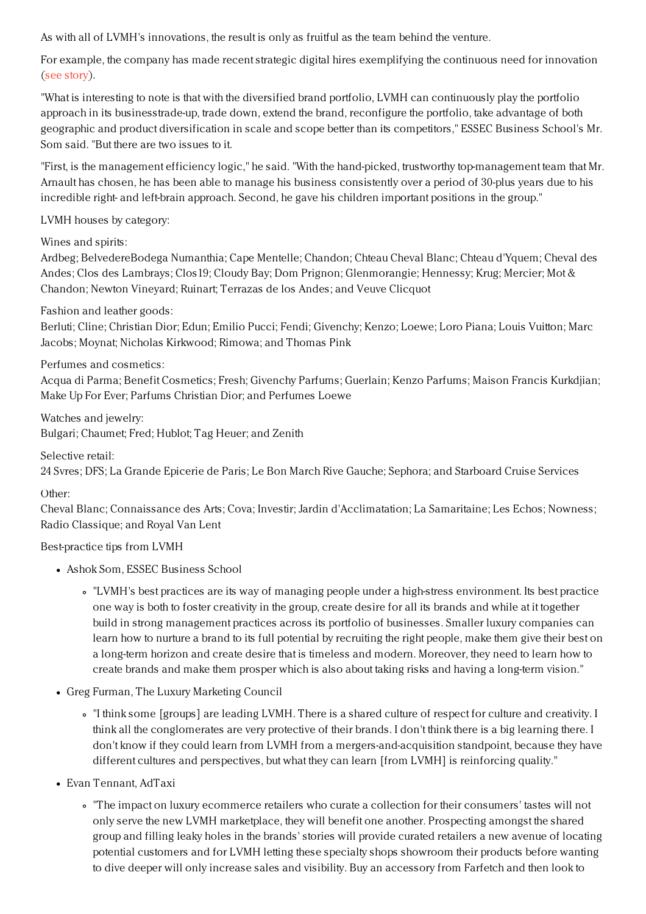As with all of LVMH's innovations, the result is only as fruitful as the team behind the venture.

For example, the company has made recent strategic digital hires exemplifying the continuous need for innovation (see [story](https://www.luxurydaily.com/lvmh-hires-digital-communications-svp-from-nike/)).

"What is interesting to note is that with the diversified brand portfolio, LVMH can continuously play the portfolio approach in its businesstrade-up, trade down, extend the brand, reconfigure the portfolio, take advantage of both geographic and product diversification in scale and scope better than its competitors," ESSEC Business School's Mr. Som said. "But there are two issues to it.

"First, is the management efficiency logic," he said. "With the hand-picked, trustworthy top-management team that Mr. Arnault has chosen, he has been able to manage his business consistently over a period of 30-plus years due to his incredible right- and left-brain approach. Second, he gave his children important positions in the group."

LVMH houses by category:

Wines and spirits:

Ardbeg; BelvedereBodega Numanthia; Cape Mentelle; Chandon; Chteau Cheval Blanc; Chteau d'Yquem; Cheval des Andes; Clos des Lambrays; Clos19; Cloudy Bay; Dom Prignon; Glenmorangie; Hennessy; Krug; Mercier; Mot & Chandon; Newton Vineyard; Ruinart; Terrazas de los Andes; and Veuve Clicquot

Fashion and leather goods:

Berluti; Cline; Christian Dior; Edun; Emilio Pucci; Fendi; Givenchy; Kenzo; Loewe; Loro Piana; Louis Vuitton; Marc Jacobs; Moynat; Nicholas Kirkwood; Rimowa; and Thomas Pink

Perfumes and cosmetics:

Acqua di Parma; Benefit Cosmetics; Fresh; Givenchy Parfums; Guerlain; Kenzo Parfums; Maison Francis Kurkdjian; Make Up For Ever; Parfums Christian Dior; and Perfumes Loewe

Watches and jewelry: Bulgari; Chaumet; Fred; Hublot; Tag Heuer; and Zenith

## Selective retail:

24 Svres; DFS; La Grande Epicerie de Paris; Le Bon March Rive Gauche; Sephora; and Starboard Cruise Services

# Other:

Cheval Blanc; Connaissance des Arts; Cova; Investir; Jardin d'Acclimatation; La Samaritaine; Les Echos; Nowness; Radio Classique; and Royal Van Lent

Best-practice tips from LVMH

- Ashok Som, ESSEC Business School
	- "LVMH's best practices are its way of managing people under a high-stress environment. Its best practice one way is both to foster creativity in the group, create desire for all its brands and while at it together build in strong management practices across its portfolio of businesses. Smaller luxury companies can learn how to nurture a brand to its full potential by recruiting the right people, make them give their best on a long-term horizon and create desire that is timeless and modern. Moreover, they need to learn how to create brands and make them prosper which is also about taking risks and having a long-term vision."
- Greg Furman, The Luxury Marketing Council
	- "I think some [groups] are leading LVMH. There is a shared culture of respect for culture and creativity. I think all the conglomerates are very protective of their brands. I don't think there is a big learning there. I don't know if they could learn from LVMH from a mergers-and-acquisition standpoint, because they have different cultures and perspectives, but what they can learn [from LVMH] is reinforcing quality."
- Evan Tennant, AdTaxi
	- "The impact on luxury ecommerce retailers who curate a collection for their consumers' tastes will not only serve the new LVMH marketplace, they will benefit one another. Prospecting amongst the shared group and filling leaky holes in the brands' stories will provide curated retailers a new avenue of locating potential customers and for LVMH letting these specialty shops showroom their products before wanting to dive deeper will only increase sales and visibility. Buy an accessory from Farfetch and then look to